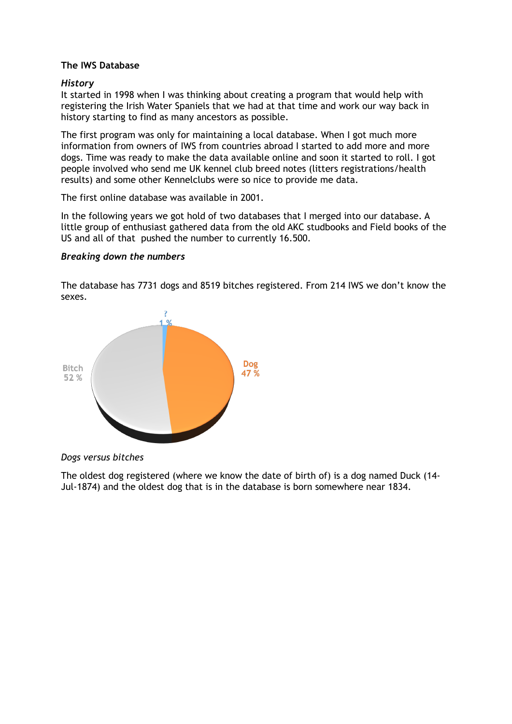## **The IWS Database**

## *History*

It started in 1998 when I was thinking about creating a program that would help with registering the Irish Water Spaniels that we had at that time and work our way back in history starting to find as many ancestors as possible.

The first program was only for maintaining a local database. When I got much more information from owners of IWS from countries abroad I started to add more and more dogs. Time was ready to make the data available online and soon it started to roll. I got people involved who send me UK kennel club breed notes (litters registrations/health results) and some other Kennelclubs were so nice to provide me data.

The first online database was available in 2001.

In the following years we got hold of two databases that I merged into our database. A little group of enthusiast gathered data from the old AKC studbooks and Field books of the US and all of that pushed the number to currently 16.500.

## *Breaking down the numbers*

The database has 7731 dogs and 8519 bitches registered. From 214 IWS we don't know the sexes.



*Dogs versus bitches* 

The oldest dog registered (where we know the date of birth of) is a dog named Duck (14- Jul-1874) and the oldest dog that is in the database is born somewhere near 1834.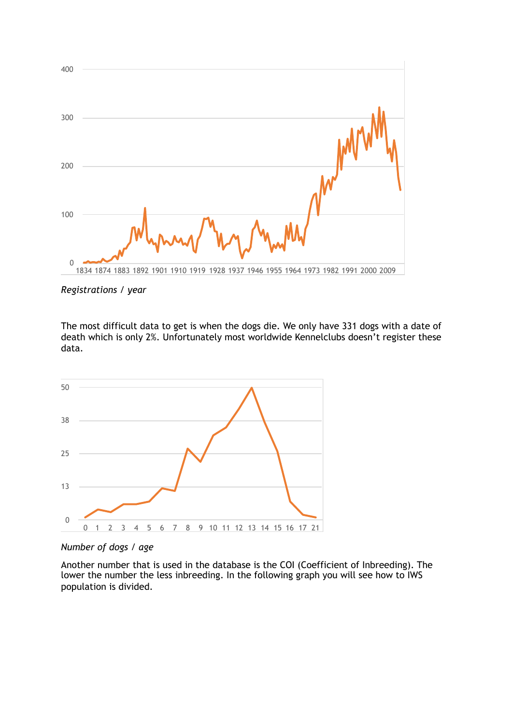

*Registrations / year* 

The most difficult data to get is when the dogs die. We only have 331 dogs with a date of death which is only 2%. Unfortunately most worldwide Kennelclubs doesn't register these data.



*Number of dogs / age*

Another number that is used in the database is the COI (Coefficient of Inbreeding). The lower the number the less inbreeding. In the following graph you will see how to IWS population is divided.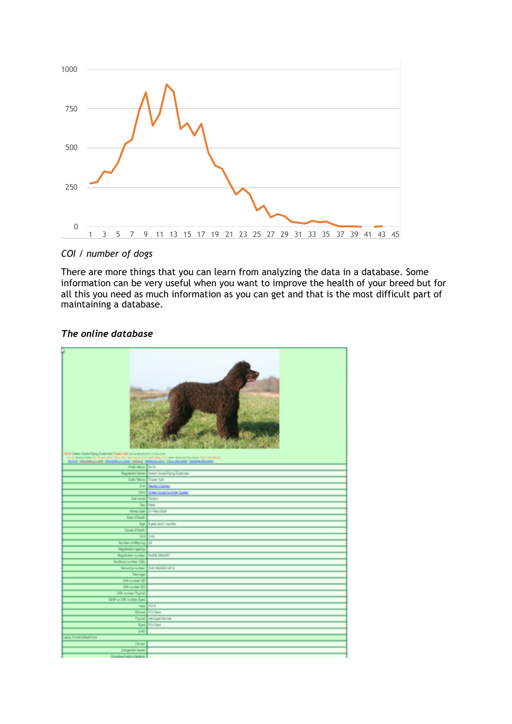

*COI / number of dogs*

There are more things that you can learn from analyzing the data in a database. Some information can be very useful when you want to improve the health of your breed but for all this you need as much information as you can get and that is the most difficult part of maintaining a database.

## *The online database*